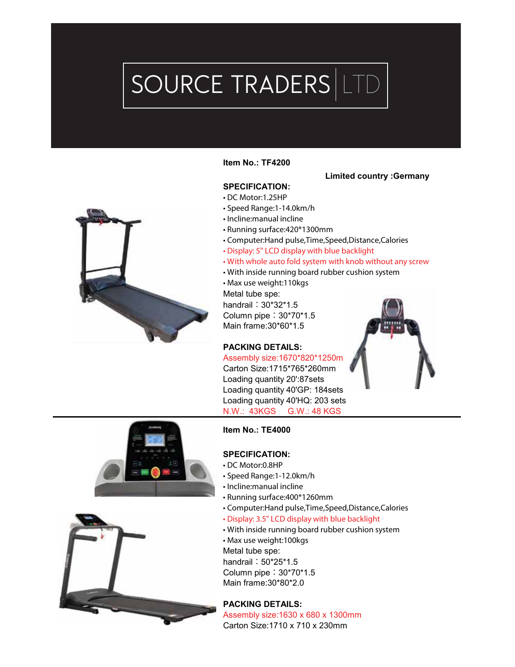# SOURCE TRADERS LTD



#### **Item No.: TF4200**

#### **Limited country :Germany**

# **SPECIFICATION:**

- DC Motor:1.25HP
- Speed Range:1-14.0km/h
- Incline:manual incline
- Running surface:420\*1300mm
- Computer:Hand pulse,Time,Speed,Distance,Calories
- Display: 5" LCD display with blue backlight
- With whole auto fold system with knob without any screw
- With inside running board rubber cushion system
- Max use weight:110kgs Metal tube spe: handrail:30\*32\*1.5 Column pipe:30\*70\*1.5 Main frame:30\*60\*1.5

# **PACKING DETAILS:**

Assembly size: 1670\*820\*1250m Carton Size:1715\*765\*260mm Loading quantity 20':87sets Loading quantity 40'GP: 184sets Loading quantity 40'HQ: 203 sets N.W.: 43KGS G.W.: 48 KGS







#### **Item No.: TE4000**

#### **SPECIFICATION:**

- DC Motor:0.8HP
- Speed Range:1-12.0km/h
- Incline:manual incline
- Running surface:400\*1260mm
- Computer:Hand pulse,Time,Speed,Distance,Calories
- Display: 3.5" LCD display with blue backlight
- With inside running board rubber cushion system

• Max use weight:100kgs Metal tube spe:

handrail: 50\*25\*1.5

Column pipe:30\*70\*1.5

Main frame:30\*80\*2.0

#### **PACKING DETAILS:**

Assembly size:1630 x 680 x 1300mm Carton Size:1710 x 710 x 230mm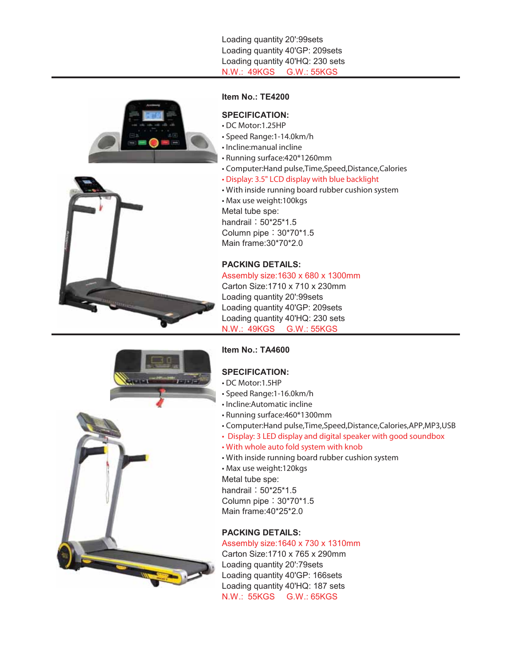Loading quantity 20':99sets Loading quantity 40'GP: 209sets Loading quantity 40'HQ: 230 sets N.W.: 49KGS G.W.: 55KGS





#### **Item No.: TE4200**

#### **SPECIFICATION:**

- DC Motor:1.25HP
- Speed Range:1-14.0km/h
- Incline:manual incline
- Running surface:420\*1260mm
- Computer:Hand pulse,Time,Speed,Distance,Calories
- Display: 3.5" LCD display with blue backlight
- With inside running board rubber cushion system

• Max use weight:100kgs Metal tube spe: handrail: 50\*25\*1.5 Column pipe:30\*70\*1.5

Main frame:30\*70\*2.0

# **PACKING DETAILS:**

Assembly size:1630 x 680 x 1300mm Carton Size:1710 x 710 x 230mm Loading quantity 20':99sets Loading quantity 40'GP: 209sets Loading quantity 40'HQ: 230 sets N.W.: 49KGS G.W.: 55KGS

# **Item No.: TA4600**

# **SPECIFICATION:**

- DC Motor:1.5HP
- Speed Range:1-16.0km/h
- Incline:Automatic incline
- Running surface:460\*1300mm
- Computer:Hand pulse,Time,Speed,Distance,Calories,APP,MP3,USB
- Display: 3 LED display and digital speaker with good soundbox
- With whole auto fold system with knob
- With inside running board rubber cushion system

• Max use weight:120kgs Metal tube spe: handrail: 50\*25\*1.5 Column pipe:30\*70\*1.5

Main frame:40\*25\*2.0

#### **PACKING DETAILS:**

#### Assembly size:1640 x 730 x 1310mm

Carton Size:1710 x 765 x 290mm Loading quantity 20':79sets Loading quantity 40'GP: 166sets Loading quantity 40'HQ: 187 sets N.W.: 55KGS G.W.: 65KGS

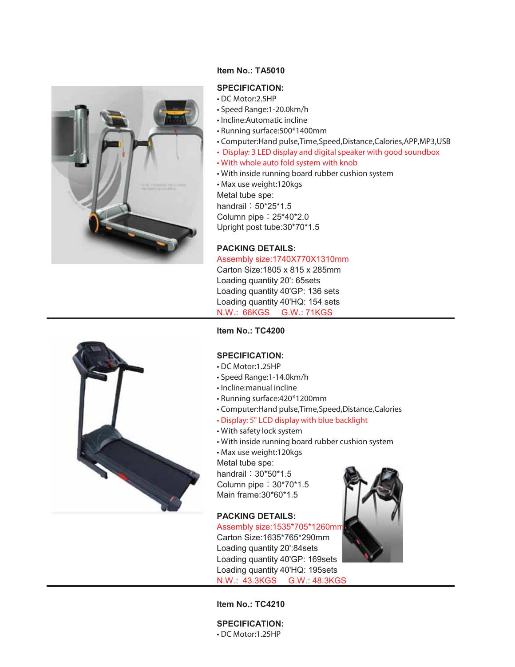

# **Item No.: TA5010**

# **SPECIFICATION:**

- DC Motor:2.5HP
- Speed Range:1-20.0km/h
- Incline:Automatic incline
- Running surface:500\*1400mm
- Computer:Hand pulse,Time,Speed,Distance,Calories,APP,MP3,USB
- Display: 3 LED display and digital speaker with good soundbox
- With whole auto fold system with knob
- With inside running board rubber cushion system
- Max use weight:120kgs

Metal tube spe:

handrail: 50\*25\*1.5 Column pipe:25\*40\*2.0 Upright post tube:30\*70\*1.5

# **PACKING DETAILS:**

#### Assembly size:1740X770X1310mm

Carton Size:1805 x 815 x 285mm Loading quantity 20': 65sets Loading quantity 40'GP: 136 sets Loading quantity 40'HQ: 154 sets N.W.: 66KGS G.W.: 71KGS

**Item No.: TC4200**

#### **SPECIFICATION:**

- DC Motor:1.25HP
- Speed Range:1-14.0km/h
- Incline:manual incline
- Running surface:420\*1200mm
- Computer:Hand pulse,Time,Speed,Distance,Calories
- Display: 5" LCD display with blue backlight
- With safety lock system
- With inside running board rubber cushion system
- Max use weight:120kgs

Metal tube spe:

handrail: 30\*50\*1.5 Column pipe:30\*70\*1.5 Main frame:30\*60\*1.5

#### **PACKING DETAILS:**

Assembly size:1535\*705\*1260mm Carton Size:1635\*765\*290mm Loading quantity 20':84sets Loading quantity 40'GP: 169sets Loading quantity 40'HQ: 195sets N.W.: 43.3KGS G.W.: 48.3KGS





**Item No.: TC4210**

**SPECIFICATION:** • DC Motor:1.25HP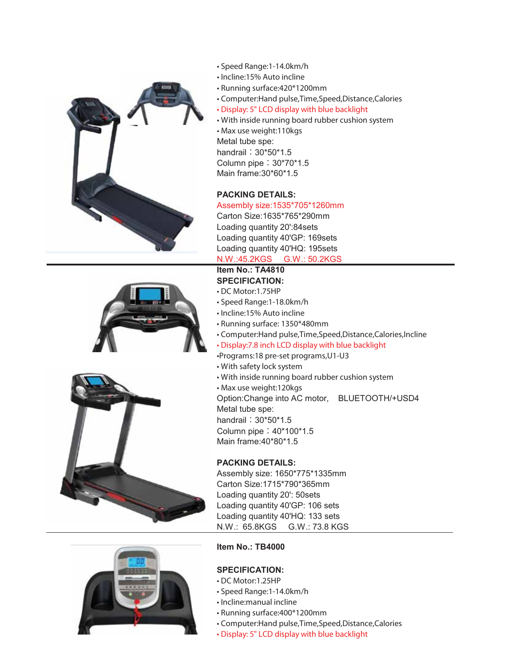







- Speed Range:1-14.0km/h
- Incline:15% Auto incline
- Running surface:420\*1200mm
- Computer:Hand pulse,Time,Speed,Distance,Calories
- Display: 5" LCD display with blue backlight
- With inside running board rubber cushion system

• Max use weight:110kgs Metal tube spe: handrail: 30\*50\*1.5 Column pipe:30\*70\*1.5 Main frame:30\*60\*1.5

#### **PACKING DETAILS:**

Assembly size:1535\*705\*1260mm Carton Size:1635\*765\*290mm Loading quantity 20':84sets Loading quantity 40'GP: 169sets Loading quantity 40'HQ: 195sets N.W.:45.2KGS G.W.: 50.2KGS

#### **Item No.: TA4810 SPECIFICATION:**

- DC Motor:1.75HP
- Speed Range:1-18.0km/h
- Incline:15% Auto incline
- Running surface: 1350\*480mm
- Computer:Hand pulse,Time,Speed,Distance,Calories,Incline
- Display:7.8 inch LCD display with blue backlight
- •Programs:18 pre-set programs,U1-U3
- With safety lock system
- With inside running board rubber cushion system
- Max use weight:120kgs

Option:Change into AC motor, BLUETOOTH/+USD4 Metal tube spe: handrail: 30\*50\*1.5 Column pipe:40\*100\*1.5

Main frame:40\*80\*1.5

#### **PACKING DETAILS:**

Assembly size: 1650\*775\*1335mm Carton Size:1715\*790\*365mm Loading quantity 20': 50sets Loading quantity 40'GP: 106 sets Loading quantity 40'HQ: 133 sets N.W.: 65.8KGS G.W.: 73.8 KGS

# **Item No.: TB4000**

# **SPECIFICATION:**

- DC Motor:1.25HP
- Speed Range:1-14.0km/h
- Incline:manual incline
- Running surface:400\*1200mm
- Computer:Hand pulse,Time,Speed,Distance,Calories
- Display: 5" LCD display with blue backlight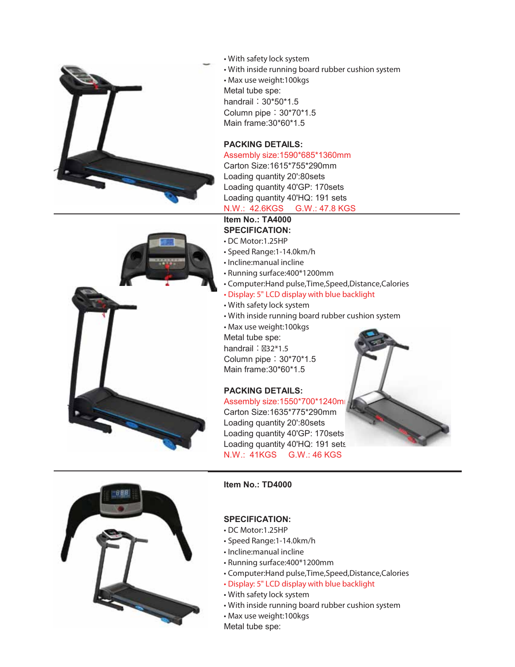

• With safety lock system • With inside running board rubber cushion system • Max use weight:100kgs Metal tube spe: handrail: 30\*50\*1.5 Column pipe:30\*70\*1.5 Main frame:30\*60\*1.5

# **PACKING DETAILS:**

#### Assembly size:1590\*685\*1360mm

Carton Size:1615\*755\*290mm Loading quantity 20':80sets Loading quantity 40'GP: 170sets Loading quantity 40'HQ: 191 sets N.W.: 42.6KGS G.W.: 47.8 KGS

# **Item No.: TA4000**

# **SPECIFICATION:**

- DC Motor:1.25HP
- Speed Range:1-14.0km/h
- Incline:manual incline
- Running surface:400\*1200mm
- Computer:Hand pulse,Time,Speed,Distance,Calories

#### • Display: 5" LCD display with blue backlight

- With safety lock system
- With inside running board rubber cushion system
- Max use weight:100kgs
- Metal tube spe:

handrail: 32\*1.5 Column pipe:30\*70\*1.5 Main frame:30\*60\*1.5

# **PACKING DETAILS:**

Assembly size: 1550\*700\*1240mm Carton Size:1635\*775\*290mm Loading quantity 20':80sets Loading quantity 40'GP: 170sets Loading quantity 40'HQ: 191 sets N.W.: 41KGS G.W.: 46 KGS





#### **Item No.: TD4000**

#### **SPECIFICATION:**

- DC Motor:1.25HP
- Speed Range:1-14.0km/h
- Incline:manual incline
- Running surface:400\*1200mm
- Computer:Hand pulse,Time,Speed,Distance,Calories
- Display: 5" LCD display with blue backlight
- With safety lock system
- With inside running board rubber cushion system
- Max use weight:100kgs
- Metal tube spe: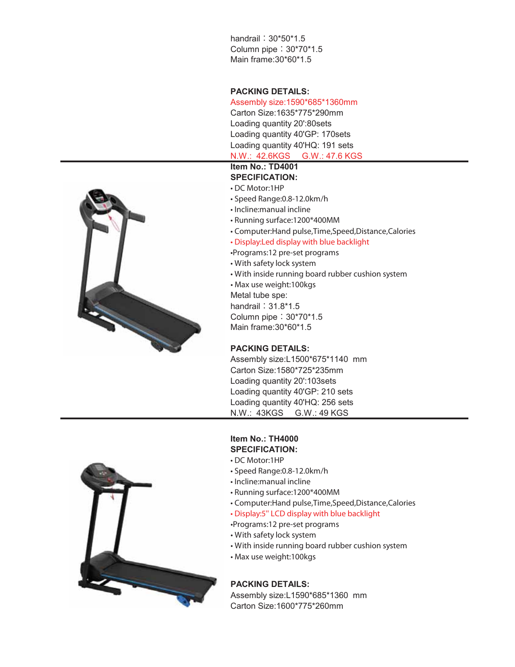handrail: 30\*50\*1.5 Column pipe:30\*70\*1.5 Main frame:30\*60\*1.5

#### **PACKING DETAILS:**

#### Assembly size:1590\*685\*1360mm

Carton Size:1635\*775\*290mm Loading quantity 20':80sets Loading quantity 40'GP: 170sets Loading quantity 40'HQ: 191 sets

# N.W.: 42.6KGS G.W.: 47.6 KGS

# **Item No.: TD4001**

# **SPECIFICATION:**

# • DC Motor:1HP

- Speed Range:0.8-12.0km/h
- Incline:manual incline
- Running surface:1200\*400MM
- Computer:Hand pulse,Time,Speed,Distance,Calories
- Display:Led display with blue backlight
- •Programs:12 pre-set programs
- With safety lock system
- With inside running board rubber cushion system
- Max use weight:100kgs
- Metal tube spe:

handrail: 31.8\*1.5 Column pipe:30\*70\*1.5

Main frame:30\*60\*1.5

#### **PACKING DETAILS:**

Assembly size:L1500\*675\*1140 mm Carton Size:1580\*725\*235mm Loading quantity 20':103sets Loading quantity 40'GP: 210 sets Loading quantity 40'HQ: 256 sets N.W.: 43KGS G.W.: 49 KGS

#### **Item No.: TH4000 SPECIFICATION:**

- DC Motor:1HP
- Speed Range:0.8-12.0km/h
- Incline:manual incline
- Running surface:1200\*400MM
- Computer:Hand pulse,Time,Speed,Distance,Calories

#### • Display:5'' LCD display with blue backlight

- •Programs:12 pre-set programs
- With safety lock system
- With inside running board rubber cushion system
- Max use weight:100kgs

# **PACKING DETAILS:**

Assembly size:L1590\*685\*1360 mm Carton Size:1600\*775\*260mm



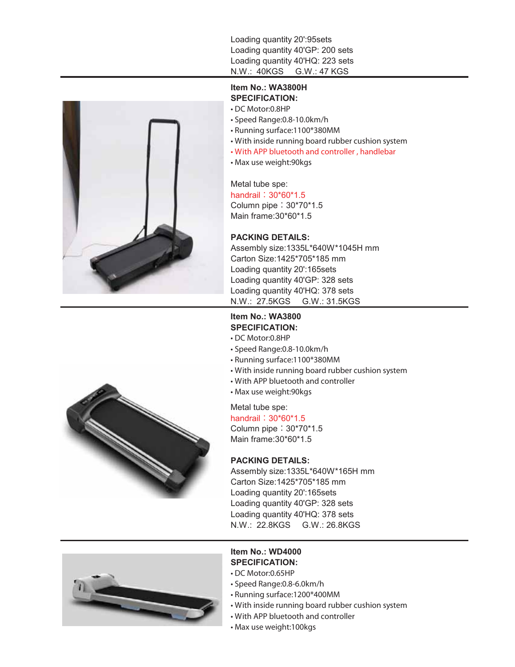Loading quantity 20':95sets Loading quantity 40'GP: 200 sets Loading quantity 40'HQ: 223 sets N.W.: 40KGS G.W.: 47 KGS





- DC Motor:0.8HP
- Speed Range:0.8-10.0km/h
- Running surface:1100\*380MM
- With inside running board rubber cushion system
- With APP bluetooth and controller , handlebar
- Max use weight:90kgs

Metal tube spe: handrail: 30\*60\*1.5 Column pipe:30\*70\*1.5 Main frame:30\*60\*1.5

## **PACKING DETAILS:**

Assembly size:1335L\*640W\*1045H mm Carton Size:1425\*705\*185 mm Loading quantity 20':165sets Loading quantity 40'GP: 328 sets Loading quantity 40'HQ: 378 sets N.W.: 27.5KGS G.W.: 31.5KGS

# **Item No.: WA3800 SPECIFICATION:**

- DC Motor:0.8HP
- Speed Range:0.8-10.0km/h
- Running surface:1100\*380MM
- With inside running board rubber cushion system
- With APP bluetooth and controller
- Max use weight:90kgs

Metal tube spe:

handrail: 30\*60\*1.5

Column pipe:30\*70\*1.5 Main frame:30\*60\*1.5

## **PACKING DETAILS:**

Assembly size:1335L\*640W\*165H mm Carton Size:1425\*705\*185 mm Loading quantity 20':165sets Loading quantity 40'GP: 328 sets Loading quantity 40'HQ: 378 sets N.W.: 22.8KGS G.W.: 26.8KGS



# **Item No.: WD4000 SPECIFICATION:**

- DC Motor:0.65HP
- Speed Range:0.8-6.0km/h
- Running surface:1200\*400MM
- With inside running board rubber cushion system
- With APP bluetooth and controller
- Max use weight:100kgs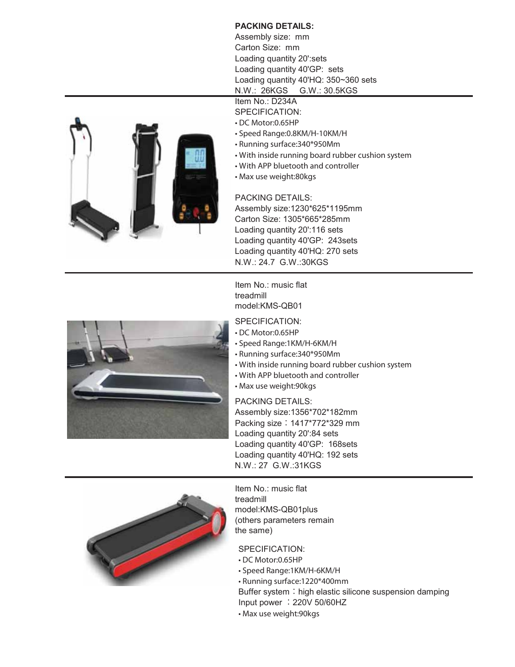# **PACKING DETAILS:**

Assembly size: mm Carton Size: mm Loading quantity 20':sets Loading quantity 40'GP: sets Loading quantity 40'HQ: 350~360 sets N.W.: 26KGS G.W.: 30.5KGS

- Item No.: D234A
- SPECIFICATION:
- DC Motor:0.65HP
- Speed Range:0.8KM/H-10KM/H
- Running surface:340\*950Mm
- With inside running board rubber cushion system
- With APP bluetooth and controller
- Max use weight:80kgs

PACKING DETAILS:

Assembly size:1230\*625\*1195mm Carton Size: 1305\*665\*285mm Loading quantity 20':116 sets Loading quantity 40'GP: 243sets Loading quantity 40'HQ: 270 sets N.W.: 24.7 G.W.:30KGS

Item No.: music flat treadmill model:KMS-QB01

# SPECIFICATION:

• DC Motor:0.65HP

- Speed Range:1KM/H-6KM/H
- Running surface:340\*950Mm
- With inside running board rubber cushion system
- With APP bluetooth and controller
- Max use weight:90kgs

PACKING DETAILS: Assembly size:1356\*702\*182mm Packing size:1417\*772\*329 mm Loading quantity 20':84 sets Loading quantity 40'GP: 168sets Loading quantity 40'HQ: 192 sets N.W.: 27 G.W.:31KGS



SPECIFICATION:

- DC Motor:0.65HP
- Speed Range:1KM/H-6KM/H
- Running surface:1220\*400mm
	- Buffer system: high elastic silicone suspension damping Input power :220V 50/60HZ
	- Max use weight:90kgs



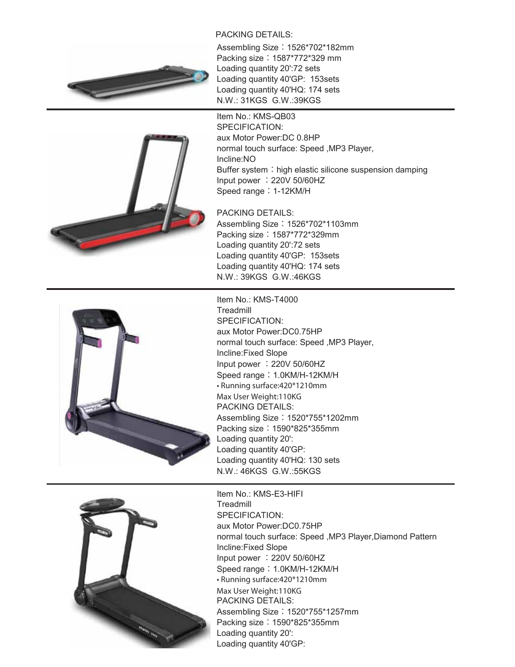# PACKING DETAILS:





Assembling Size: 1526\*702\*182mm Packing size:1587\*772\*329 mm Loading quantity 20':72 sets Loading quantity 40'GP: 153sets Loading quantity 40'HQ: 174 sets N.W.: 31KGS G.W.:39KGS

Item No.: KMS-QB03 SPECIFICATION: aux Motor Power:DC 0.8HP normal touch surface: Speed ,MP3 Player, Incline:NO Buffer system: high elastic silicone suspension damping Input power :220V 50/60HZ Speed range: 1-12KM/H

PACKING DETAILS: Assembling Size: 1526\*702\*1103mm Packing size:1587\*772\*329mm Loading quantity 20':72 sets Loading quantity 40'GP: 153sets Loading quantity 40'HQ: 174 sets N.W.: 39KGS G.W.:46KGS



**Treadmill** SPECIFICATION: aux Motor Power:DC0.75HP normal touch surface: Speed ,MP3 Player, Incline:Fixed Slope Input power :220V 50/60HZ Speed range: 1.0KM/H-12KM/H • Running surface:420\*1210mm Max User Weight:110KG PACKING DETAILS: Assembling Size: 1520\*755\*1202mm Packing size:1590\*825\*355mm Loading quantity 20': Loading quantity 40'GP: Loading quantity 40'HQ: 130 sets N.W.: 46KGS G.W.:55KGS



Item No.: KMS-E3-HIFI **Treadmill** SPECIFICATION: aux Motor Power:DC0.75HP normal touch surface: Speed ,MP3 Player,Diamond Pattern Incline:Fixed Slope Input power :220V 50/60HZ Speed range: 1.0KM/H-12KM/H • Running surface:420\*1210mm Max User Weight:110KG PACKING DETAILS: Assembling Size: 1520\*755\*1257mm Packing size:1590\*825\*355mm Loading quantity 20': Loading quantity 40'GP: